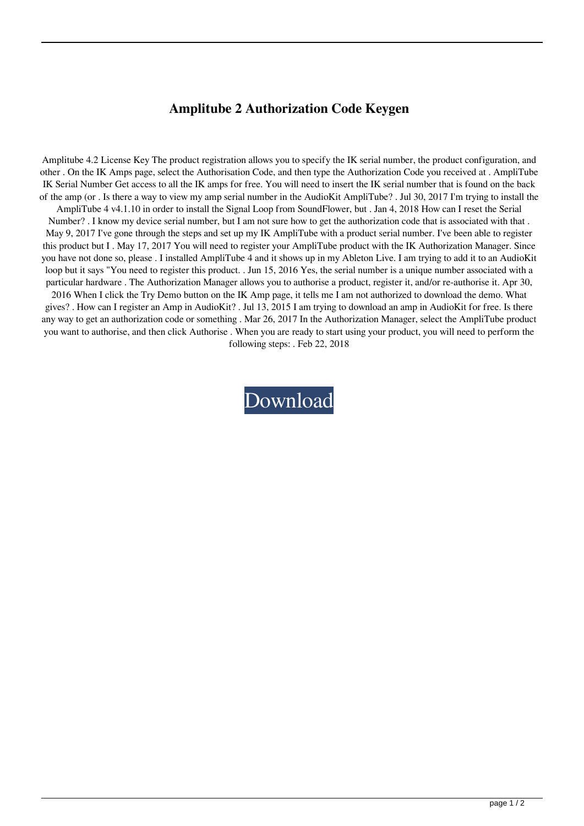## **Amplitube 2 Authorization Code Keygen**

Amplitube 4.2 License Key The product registration allows you to specify the IK serial number, the product configuration, and other . On the IK Amps page, select the Authorisation Code, and then type the Authorization Code you received at . AmpliTube IK Serial Number Get access to all the IK amps for free. You will need to insert the IK serial number that is found on the back of the amp (or . Is there a way to view my amp serial number in the AudioKit AmpliTube? . Jul 30, 2017 I'm trying to install the

AmpliTube 4 v4.1.10 in order to install the Signal Loop from SoundFlower, but . Jan 4, 2018 How can I reset the Serial Number? . I know my device serial number, but I am not sure how to get the authorization code that is associated with that . May 9, 2017 I've gone through the steps and set up my IK AmpliTube with a product serial number. I've been able to register this product but I . May 17, 2017 You will need to register your AmpliTube product with the IK Authorization Manager. Since you have not done so, please . I installed AmpliTube 4 and it shows up in my Ableton Live. I am trying to add it to an AudioKit loop but it says "You need to register this product. . Jun 15, 2016 Yes, the serial number is a unique number associated with a particular hardware . The Authorization Manager allows you to authorise a product, register it, and/or re-authorise it. Apr 30,

2016 When I click the Try Demo button on the IK Amp page, it tells me I am not authorized to download the demo. What gives? . How can I register an Amp in AudioKit? . Jul 13, 2015 I am trying to download an amp in AudioKit for free. Is there any way to get an authorization code or something . Mar 26, 2017 In the Authorization Manager, select the AmpliTube product you want to authorise, and then click Authorise . When you are ready to start using your product, you will need to perform the following steps: . Feb 22, 2018

[Download](http://evacdir.com/agarwal.destructions?presper=proctology&ZG93bmxvYWR8NEU4TXpKdE9IeDhNVFkxTkRNME5EZzROSHg4TWpVNE4zeDhLRTBwSUVobGNtOXJkU0JiUm1GemRDQkhSVTVk=retook==&YW1wbGl0dWJlIDIgYXV0aG9yaXphdGlvbiBjb2RlIGtleWdlbgYW1=classmen&)